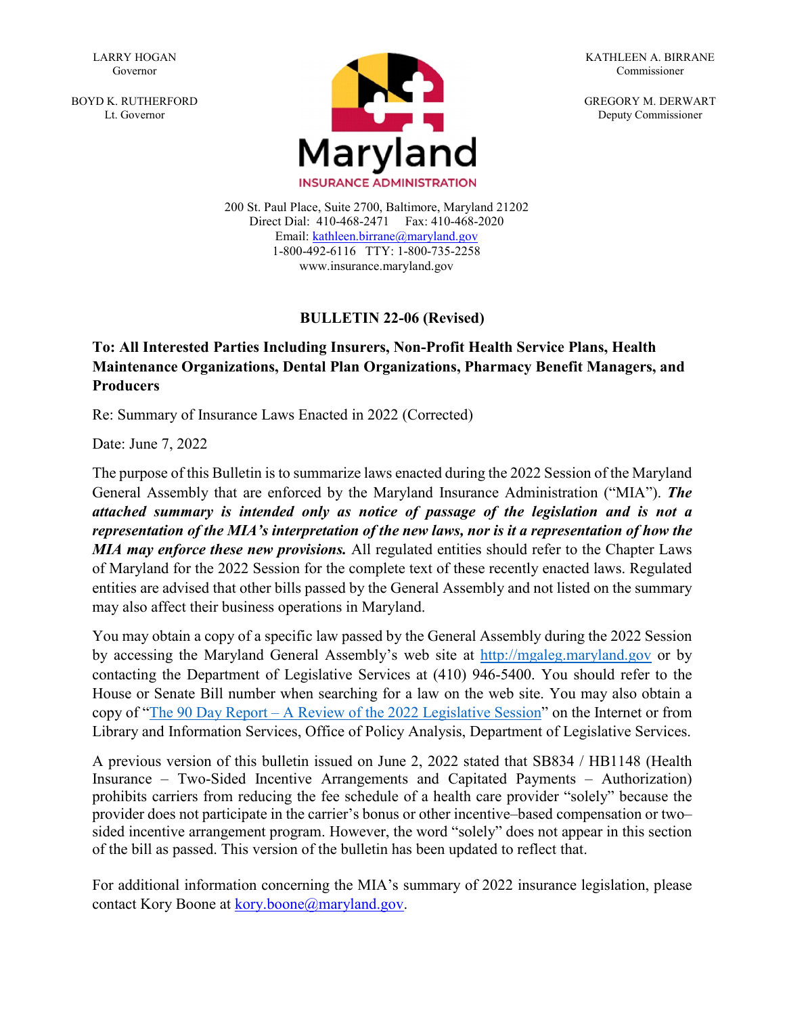LARRY HOGAN Governor

BOYD K. RUTHERFORD Lt. Governor



KATHLEEN A. BIRRANE Commissioner

GREGORY M. DERWART Deputy Commissioner

1-800-492-6116 TTY: 1-800-735-2258 200 St. Paul Place, Suite 2700, Baltimore, Maryland 21202 Direct Dial: 410-468-2471 Fax: 410-468-2020 Email: kathleen.birrane@maryland.gov www.insurance.maryland.gov

#### **BULLETIN 22-06 (Revised)**

#### **To: All Interested Parties Including Insurers, Non-Profit Health Service Plans, Health Maintenance Organizations, Dental Plan Organizations, Pharmacy Benefit Managers, and Producers**

Re: Summary of Insurance Laws Enacted in 2022 (Corrected)

Date: June 7, 2022

The purpose of this Bulletin is to summarize laws enacted during the 2022 Session of the Maryland General Assembly that are enforced by the Maryland Insurance Administration ("MIA"). *The attached summary is intended only as notice of passage of the legislation and is not a representation of the MIA's interpretation of the new laws, nor is it a representation of how the MIA may enforce these new provisions.* All regulated entities should refer to the Chapter Laws of Maryland for the 2022 Session for the complete text of these recently enacted laws. Regulated entities are advised that other bills passed by the General Assembly and not listed on the summary may also affect their business operations in Maryland.

You may obtain a copy of a specific law passed by the General Assembly during the 2022 Session by accessing the Maryland General Assembly's web site at [http://mgaleg.maryland.gov](http://mgaleg.maryland.gov/) or by contacting the Department of Legislative Services at (410) 946-5400. You should refer to the House or Senate Bill number when searching for a law on the web site. You may also obtain a copy of ["The 90 Day Report – A Review of the 2022 Legislative Session"](https://mgaleg.maryland.gov/Pubs/LegisLegal/2022rs-90-day-report.pdf) on the Internet or from Library and Information Services, Office of Policy Analysis, Department of Legislative Services.

A previous version of this bulletin issued on June 2, 2022 stated that SB834 / HB1148 (Health Insurance – Two-Sided Incentive Arrangements and Capitated Payments – Authorization) prohibits carriers from reducing the fee schedule of a health care provider "solely" because the provider does not participate in the carrier's bonus or other incentive–based compensation or two– sided incentive arrangement program. However, the word "solely" does not appear in this section of the bill as passed. This version of the bulletin has been updated to reflect that.

For additional information concerning the MIA's summary of 2022 insurance legislation, please contact Kory Boone at [kory.boone@maryland.gov.](mailto:kory.boone@maryland.gov)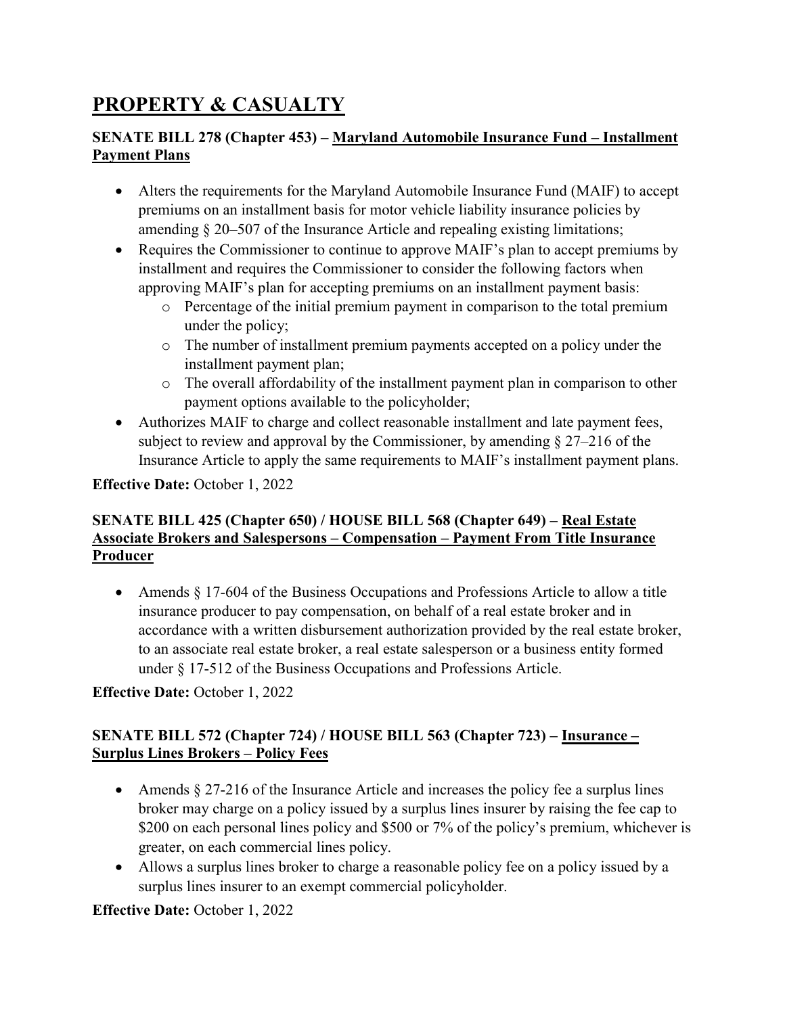# **PROPERTY & CASUALTY**

## **SENATE BILL 278 (Chapter 453) – Maryland Automobile Insurance Fund – Installment Payment Plans**

- Alters the requirements for the Maryland Automobile Insurance Fund (MAIF) to accept premiums on an installment basis for motor vehicle liability insurance policies by amending § 20–507 of the Insurance Article and repealing existing limitations;
- Requires the Commissioner to continue to approve MAIF's plan to accept premiums by installment and requires the Commissioner to consider the following factors when approving MAIF's plan for accepting premiums on an installment payment basis:
	- o Percentage of the initial premium payment in comparison to the total premium under the policy;
	- o The number of installment premium payments accepted on a policy under the installment payment plan;
	- o The overall affordability of the installment payment plan in comparison to other payment options available to the policyholder;
- Authorizes MAIF to charge and collect reasonable installment and late payment fees, subject to review and approval by the Commissioner, by amending § 27–216 of the Insurance Article to apply the same requirements to MAIF's installment payment plans.

## **Effective Date:** October 1, 2022

#### **SENATE BILL 425 (Chapter 650) / HOUSE BILL 568 (Chapter 649) – Real Estate Associate Brokers and Salespersons – Compensation – Payment From Title Insurance Producer**

• Amends § 17-604 of the Business Occupations and Professions Article to allow a title insurance producer to pay compensation, on behalf of a real estate broker and in accordance with a written disbursement authorization provided by the real estate broker, to an associate real estate broker, a real estate salesperson or a business entity formed under § 17-512 of the Business Occupations and Professions Article.

## **Effective Date:** October 1, 2022

## **SENATE BILL 572 (Chapter 724) / HOUSE BILL 563 (Chapter 723) – Insurance – Surplus Lines Brokers – Policy Fees**

- Amends § 27-216 of the Insurance Article and increases the policy fee a surplus lines broker may charge on a policy issued by a surplus lines insurer by raising the fee cap to \$200 on each personal lines policy and \$500 or 7% of the policy's premium, whichever is greater, on each commercial lines policy.
- Allows a surplus lines broker to charge a reasonable policy fee on a policy issued by a surplus lines insurer to an exempt commercial policyholder.

## **Effective Date:** October 1, 2022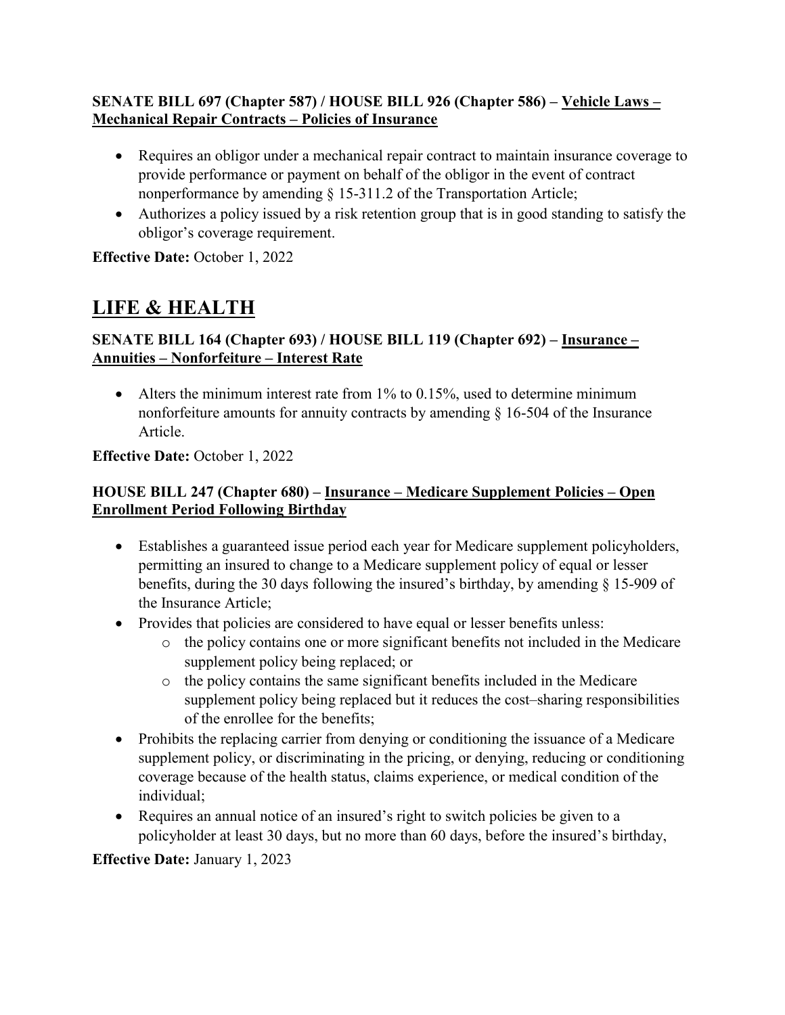#### **SENATE BILL 697 (Chapter 587) / HOUSE BILL 926 (Chapter 586) – Vehicle Laws – Mechanical Repair Contracts – Policies of Insurance**

- Requires an obligor under a mechanical repair contract to maintain insurance coverage to provide performance or payment on behalf of the obligor in the event of contract nonperformance by amending § 15-311.2 of the Transportation Article;
- Authorizes a policy issued by a risk retention group that is in good standing to satisfy the obligor's coverage requirement.

**Effective Date:** October 1, 2022

# **LIFE & HEALTH**

## **SENATE BILL 164 (Chapter 693) / HOUSE BILL 119 (Chapter 692) – Insurance – Annuities – Nonforfeiture – Interest Rate**

• Alters the minimum interest rate from  $1\%$  to 0.15%, used to determine minimum nonforfeiture amounts for annuity contracts by amending § 16-504 of the Insurance Article.

## **Effective Date:** October 1, 2022

## **HOUSE BILL 247 (Chapter 680) – Insurance – Medicare Supplement Policies – Open Enrollment Period Following Birthday**

- Establishes a guaranteed issue period each year for Medicare supplement policyholders, permitting an insured to change to a Medicare supplement policy of equal or lesser benefits, during the 30 days following the insured's birthday, by amending § 15-909 of the Insurance Article;
- Provides that policies are considered to have equal or lesser benefits unless:
	- o the policy contains one or more significant benefits not included in the Medicare supplement policy being replaced; or
	- o the policy contains the same significant benefits included in the Medicare supplement policy being replaced but it reduces the cost–sharing responsibilities of the enrollee for the benefits;
- Prohibits the replacing carrier from denying or conditioning the issuance of a Medicare supplement policy, or discriminating in the pricing, or denying, reducing or conditioning coverage because of the health status, claims experience, or medical condition of the individual;
- Requires an annual notice of an insured's right to switch policies be given to a policyholder at least 30 days, but no more than 60 days, before the insured's birthday,

## **Effective Date:** January 1, 2023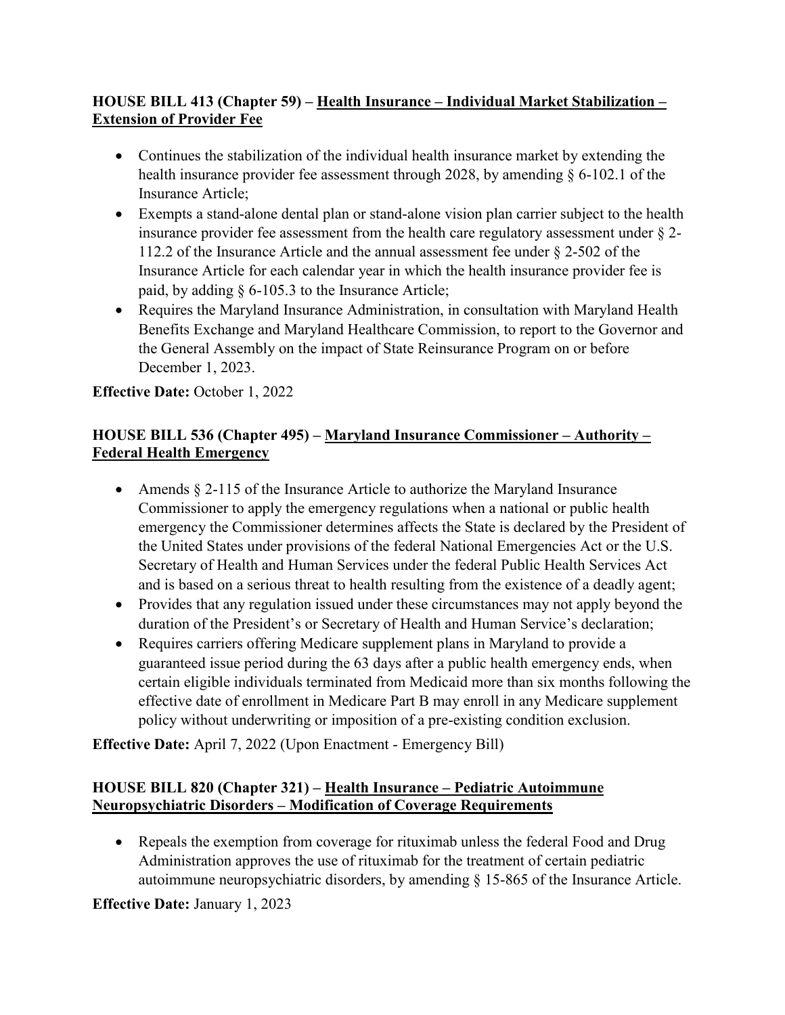## **HOUSE BILL 413 (Chapter 59) – Health Insurance – Individual Market Stabilization – Extension of Provider Fee**

- Continues the stabilization of the individual health insurance market by extending the health insurance provider fee assessment through 2028, by amending § 6-102.1 of the Insurance Article;
- Exempts a stand-alone dental plan or stand-alone vision plan carrier subject to the health insurance provider fee assessment from the health care regulatory assessment under § 2- 112.2 of the Insurance Article and the annual assessment fee under § 2-502 of the Insurance Article for each calendar year in which the health insurance provider fee is paid, by adding § 6-105.3 to the Insurance Article;
- Requires the Maryland Insurance Administration, in consultation with Maryland Health Benefits Exchange and Maryland Healthcare Commission, to report to the Governor and the General Assembly on the impact of State Reinsurance Program on or before December 1, 2023.

**Effective Date:** October 1, 2022

## **HOUSE BILL 536 (Chapter 495) – Maryland Insurance Commissioner – Authority – Federal Health Emergency**

- Amends  $\S 2$ -115 of the Insurance Article to authorize the Maryland Insurance Commissioner to apply the emergency regulations when a national or public health emergency the Commissioner determines affects the State is declared by the President of the United States under provisions of the federal National Emergencies Act or the U.S. Secretary of Health and Human Services under the federal Public Health Services Act and is based on a serious threat to health resulting from the existence of a deadly agent;
- Provides that any regulation issued under these circumstances may not apply beyond the duration of the President's or Secretary of Health and Human Service's declaration;
- Requires carriers offering Medicare supplement plans in Maryland to provide a guaranteed issue period during the 63 days after a public health emergency ends, when certain eligible individuals terminated from Medicaid more than six months following the effective date of enrollment in Medicare Part B may enroll in any Medicare supplement policy without underwriting or imposition of a pre-existing condition exclusion.

**Effective Date:** April 7, 2022 (Upon Enactment - Emergency Bill)

## **HOUSE BILL 820 (Chapter 321) – Health Insurance – Pediatric Autoimmune Neuropsychiatric Disorders – Modification of Coverage Requirements**

• Repeals the exemption from coverage for rituximab unless the federal Food and Drug Administration approves the use of rituximab for the treatment of certain pediatric autoimmune neuropsychiatric disorders, by amending § 15-865 of the Insurance Article.

## **Effective Date:** January 1, 2023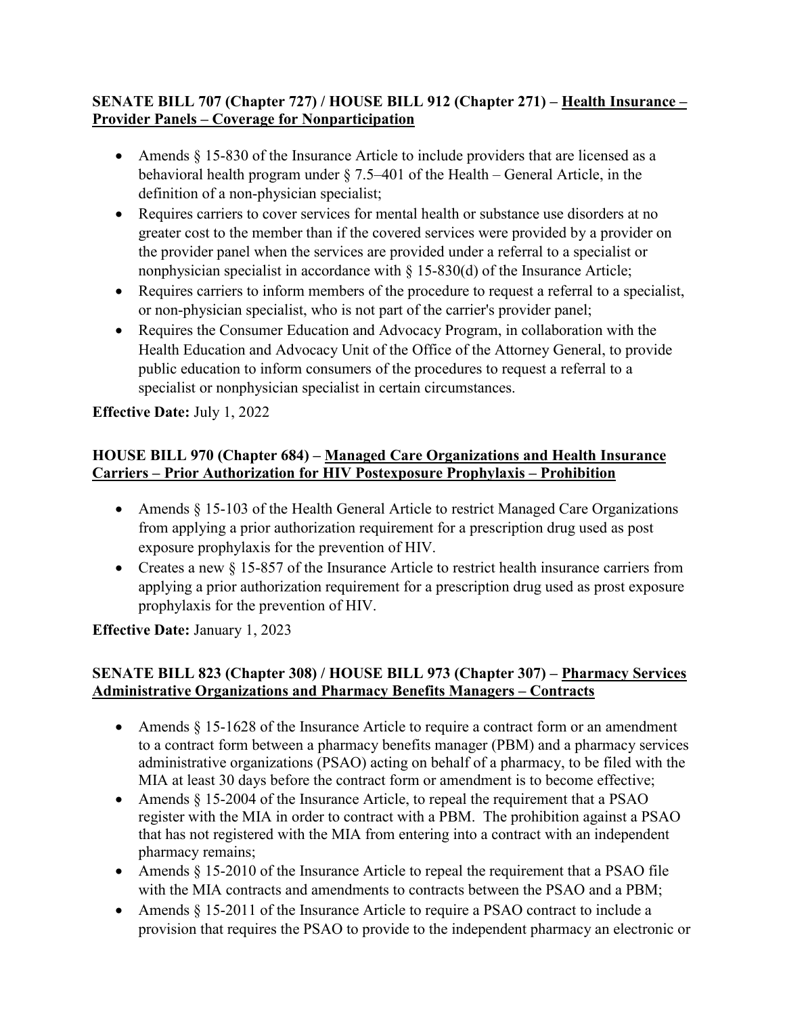#### **SENATE BILL 707 (Chapter 727) / HOUSE BILL 912 (Chapter 271) – Health Insurance – Provider Panels – Coverage for Nonparticipation**

- Amends  $\S$  15-830 of the Insurance Article to include providers that are licensed as a behavioral health program under § 7.5–401 of the Health – General Article, in the definition of a non-physician specialist;
- Requires carriers to cover services for mental health or substance use disorders at no greater cost to the member than if the covered services were provided by a provider on the provider panel when the services are provided under a referral to a specialist or nonphysician specialist in accordance with § 15-830(d) of the Insurance Article;
- Requires carriers to inform members of the procedure to request a referral to a specialist, or non-physician specialist, who is not part of the carrier's provider panel;
- Requires the Consumer Education and Advocacy Program, in collaboration with the Health Education and Advocacy Unit of the Office of the Attorney General, to provide public education to inform consumers of the procedures to request a referral to a specialist or nonphysician specialist in certain circumstances.

## **Effective Date:** July 1, 2022

#### **HOUSE BILL 970 (Chapter 684) – Managed Care Organizations and Health Insurance Carriers – Prior Authorization for HIV Postexposure Prophylaxis – Prohibition**

- Amends § 15-103 of the Health General Article to restrict Managed Care Organizations from applying a prior authorization requirement for a prescription drug used as post exposure prophylaxis for the prevention of HIV.
- Creates a new § 15-857 of the Insurance Article to restrict health insurance carriers from applying a prior authorization requirement for a prescription drug used as prost exposure prophylaxis for the prevention of HIV.

**Effective Date:** January 1, 2023

## **SENATE BILL 823 (Chapter 308) / HOUSE BILL 973 (Chapter 307) – Pharmacy Services Administrative Organizations and Pharmacy Benefits Managers – Contracts**

- Amends § 15-1628 of the Insurance Article to require a contract form or an amendment to a contract form between a pharmacy benefits manager (PBM) and a pharmacy services administrative organizations (PSAO) acting on behalf of a pharmacy, to be filed with the MIA at least 30 days before the contract form or amendment is to become effective;
- Amends  $\S$  15-2004 of the Insurance Article, to repeal the requirement that a PSAO register with the MIA in order to contract with a PBM. The prohibition against a PSAO that has not registered with the MIA from entering into a contract with an independent pharmacy remains;
- Amends § 15-2010 of the Insurance Article to repeal the requirement that a PSAO file with the MIA contracts and amendments to contracts between the PSAO and a PBM;
- Amends § 15-2011 of the Insurance Article to require a PSAO contract to include a provision that requires the PSAO to provide to the independent pharmacy an electronic or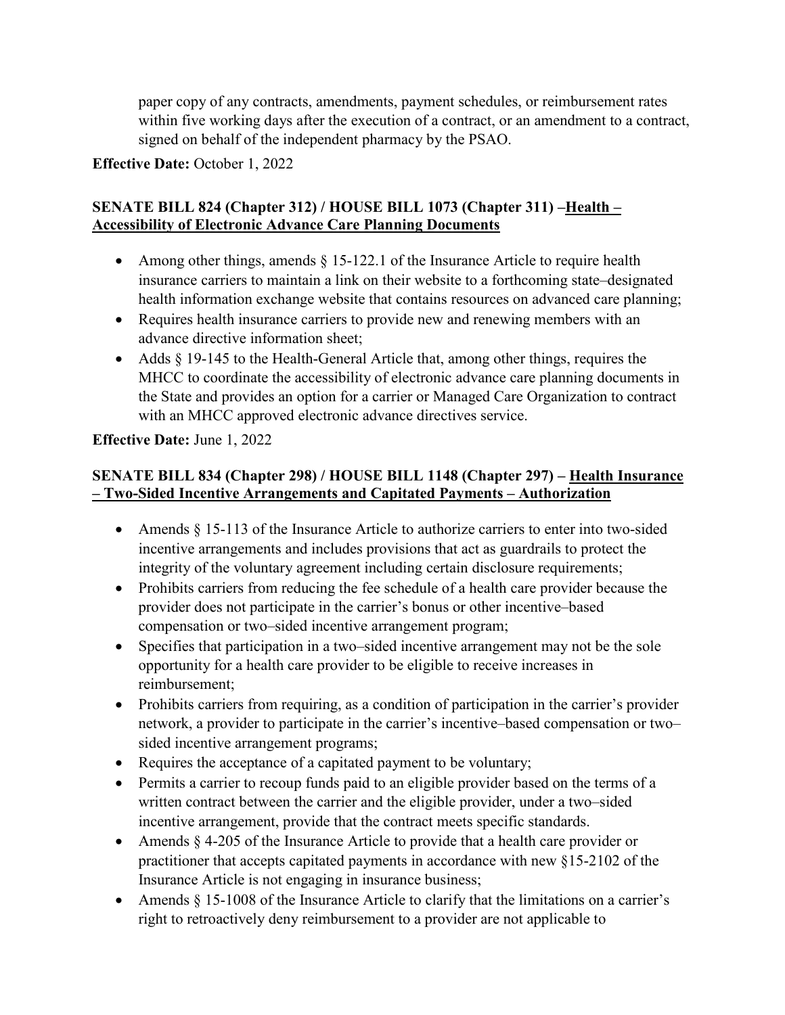paper copy of any contracts, amendments, payment schedules, or reimbursement rates within five working days after the execution of a contract, or an amendment to a contract, signed on behalf of the independent pharmacy by the PSAO.

**Effective Date:** October 1, 2022

#### **SENATE BILL 824 (Chapter 312) / HOUSE BILL 1073 (Chapter 311) –Health – Accessibility of Electronic Advance Care Planning Documents**

- Among other things, amends § 15-122.1 of the Insurance Article to require health insurance carriers to maintain a link on their website to a forthcoming state–designated health information exchange website that contains resources on advanced care planning;
- Requires health insurance carriers to provide new and renewing members with an advance directive information sheet;
- Adds § 19-145 to the Health-General Article that, among other things, requires the MHCC to coordinate the accessibility of electronic advance care planning documents in the State and provides an option for a carrier or Managed Care Organization to contract with an MHCC approved electronic advance directives service.

#### **Effective Date:** June 1, 2022

#### **SENATE BILL 834 (Chapter 298) / HOUSE BILL 1148 (Chapter 297) – Health Insurance – Two-Sided Incentive Arrangements and Capitated Payments – Authorization**

- Amends § 15-113 of the Insurance Article to authorize carriers to enter into two-sided incentive arrangements and includes provisions that act as guardrails to protect the integrity of the voluntary agreement including certain disclosure requirements;
- Prohibits carriers from reducing the fee schedule of a health care provider because the provider does not participate in the carrier's bonus or other incentive–based compensation or two–sided incentive arrangement program;
- Specifies that participation in a two–sided incentive arrangement may not be the sole opportunity for a health care provider to be eligible to receive increases in reimbursement;
- Prohibits carriers from requiring, as a condition of participation in the carrier's provider network, a provider to participate in the carrier's incentive–based compensation or two– sided incentive arrangement programs;
- Requires the acceptance of a capitated payment to be voluntary;
- Permits a carrier to recoup funds paid to an eligible provider based on the terms of a written contract between the carrier and the eligible provider, under a two–sided incentive arrangement, provide that the contract meets specific standards.
- Amends § 4-205 of the Insurance Article to provide that a health care provider or practitioner that accepts capitated payments in accordance with new §15-2102 of the Insurance Article is not engaging in insurance business;
- Amends  $\S 15{\text -}1008$  of the Insurance Article to clarify that the limitations on a carrier's right to retroactively deny reimbursement to a provider are not applicable to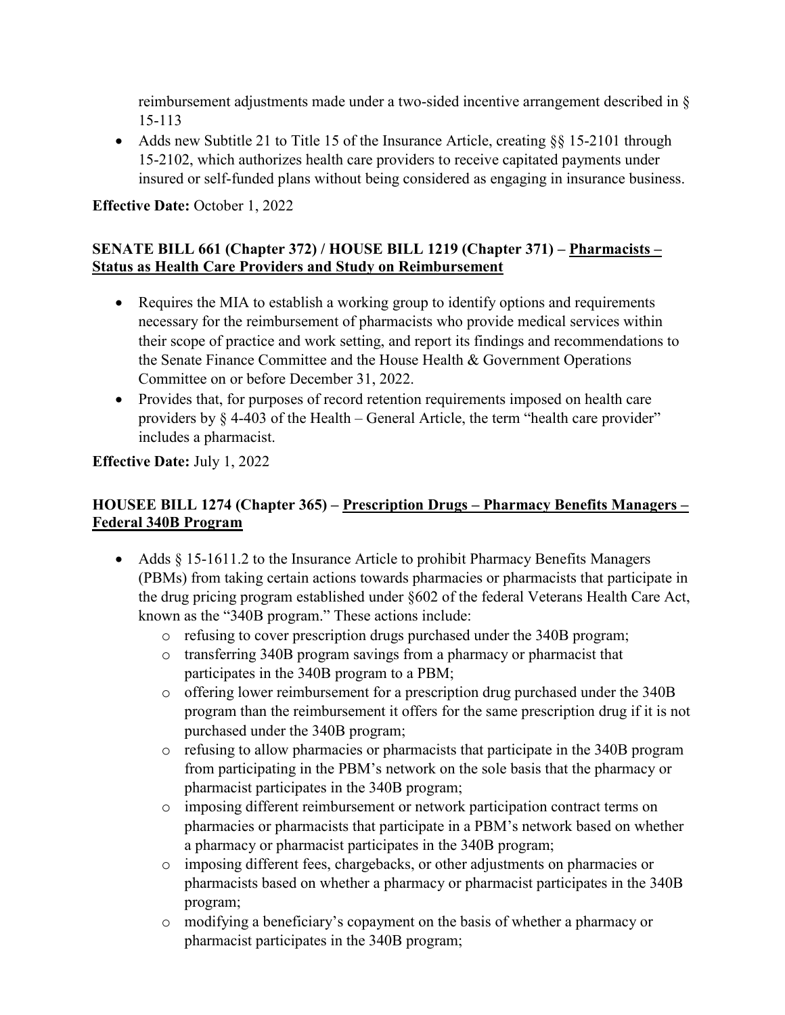reimbursement adjustments made under a two-sided incentive arrangement described in § 15-113

• Adds new Subtitle 21 to Title 15 of the Insurance Article, creating §§ 15-2101 through 15-2102, which authorizes health care providers to receive capitated payments under insured or self-funded plans without being considered as engaging in insurance business.

**Effective Date:** October 1, 2022

## **SENATE BILL 661 (Chapter 372) / HOUSE BILL 1219 (Chapter 371) – Pharmacists – Status as Health Care Providers and Study on Reimbursement**

- Requires the MIA to establish a working group to identify options and requirements necessary for the reimbursement of pharmacists who provide medical services within their scope of practice and work setting, and report its findings and recommendations to the Senate Finance Committee and the House Health & Government Operations Committee on or before December 31, 2022.
- Provides that, for purposes of record retention requirements imposed on health care providers by § 4-403 of the Health – General Article, the term "health care provider" includes a pharmacist.

## **Effective Date:** July 1, 2022

## **HOUSEE BILL 1274 (Chapter 365) – Prescription Drugs – Pharmacy Benefits Managers – Federal 340B Program**

- Adds § 15-1611.2 to the Insurance Article to prohibit Pharmacy Benefits Managers (PBMs) from taking certain actions towards pharmacies or pharmacists that participate in the drug pricing program established under §602 of the federal Veterans Health Care Act, known as the "340B program." These actions include:
	- o refusing to cover prescription drugs purchased under the 340B program;
	- o transferring 340B program savings from a pharmacy or pharmacist that participates in the 340B program to a PBM;
	- o offering lower reimbursement for a prescription drug purchased under the 340B program than the reimbursement it offers for the same prescription drug if it is not purchased under the 340B program;
	- o refusing to allow pharmacies or pharmacists that participate in the 340B program from participating in the PBM's network on the sole basis that the pharmacy or pharmacist participates in the 340B program;
	- o imposing different reimbursement or network participation contract terms on pharmacies or pharmacists that participate in a PBM's network based on whether a pharmacy or pharmacist participates in the 340B program;
	- o imposing different fees, chargebacks, or other adjustments on pharmacies or pharmacists based on whether a pharmacy or pharmacist participates in the 340B program;
	- o modifying a beneficiary's copayment on the basis of whether a pharmacy or pharmacist participates in the 340B program;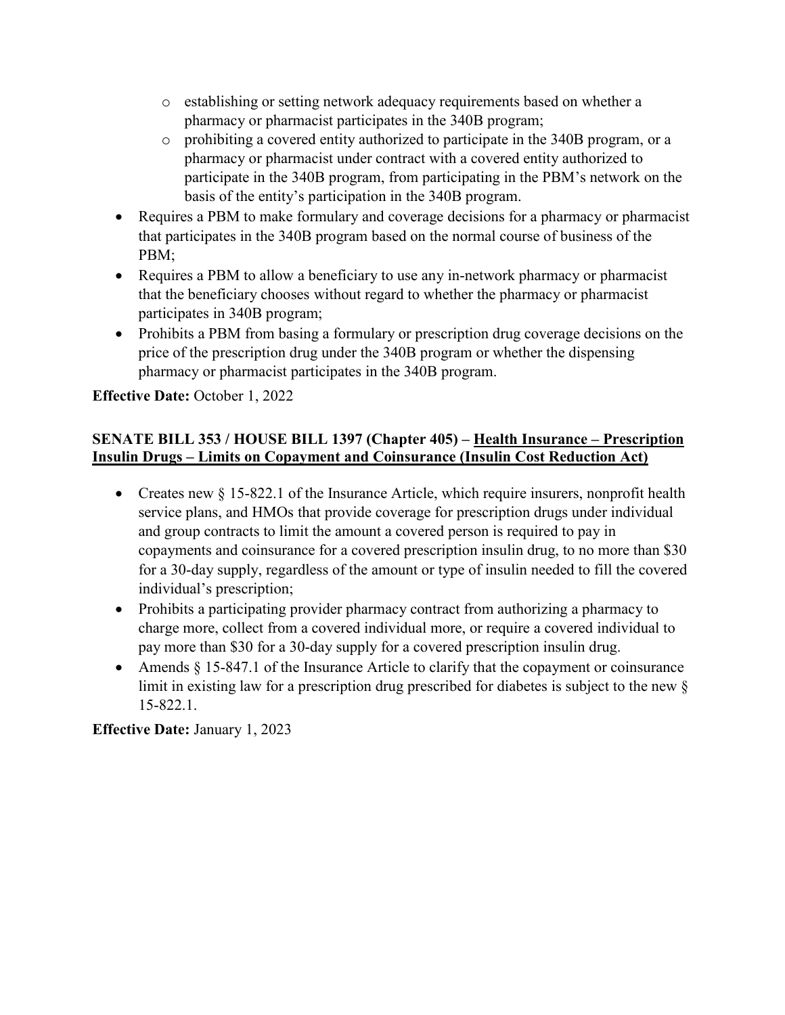- o establishing or setting network adequacy requirements based on whether a pharmacy or pharmacist participates in the 340B program;
- o prohibiting a covered entity authorized to participate in the 340B program, or a pharmacy or pharmacist under contract with a covered entity authorized to participate in the 340B program, from participating in the PBM's network on the basis of the entity's participation in the 340B program.
- Requires a PBM to make formulary and coverage decisions for a pharmacy or pharmacist that participates in the 340B program based on the normal course of business of the PBM;
- Requires a PBM to allow a beneficiary to use any in-network pharmacy or pharmacist that the beneficiary chooses without regard to whether the pharmacy or pharmacist participates in 340B program;
- Prohibits a PBM from basing a formulary or prescription drug coverage decisions on the price of the prescription drug under the 340B program or whether the dispensing pharmacy or pharmacist participates in the 340B program.

**Effective Date:** October 1, 2022

## **SENATE BILL 353 / HOUSE BILL 1397 (Chapter 405) – Health Insurance – Prescription Insulin Drugs – Limits on Copayment and Coinsurance (Insulin Cost Reduction Act)**

- Creates new § 15-822.1 of the Insurance Article, which require insurers, nonprofit health service plans, and HMOs that provide coverage for prescription drugs under individual and group contracts to limit the amount a covered person is required to pay in copayments and coinsurance for a covered prescription insulin drug, to no more than \$30 for a 30-day supply, regardless of the amount or type of insulin needed to fill the covered individual's prescription;
- Prohibits a participating provider pharmacy contract from authorizing a pharmacy to charge more, collect from a covered individual more, or require a covered individual to pay more than \$30 for a 30-day supply for a covered prescription insulin drug.
- Amends § 15-847.1 of the Insurance Article to clarify that the copayment or coinsurance limit in existing law for a prescription drug prescribed for diabetes is subject to the new § 15-822.1.

**Effective Date:** January 1, 2023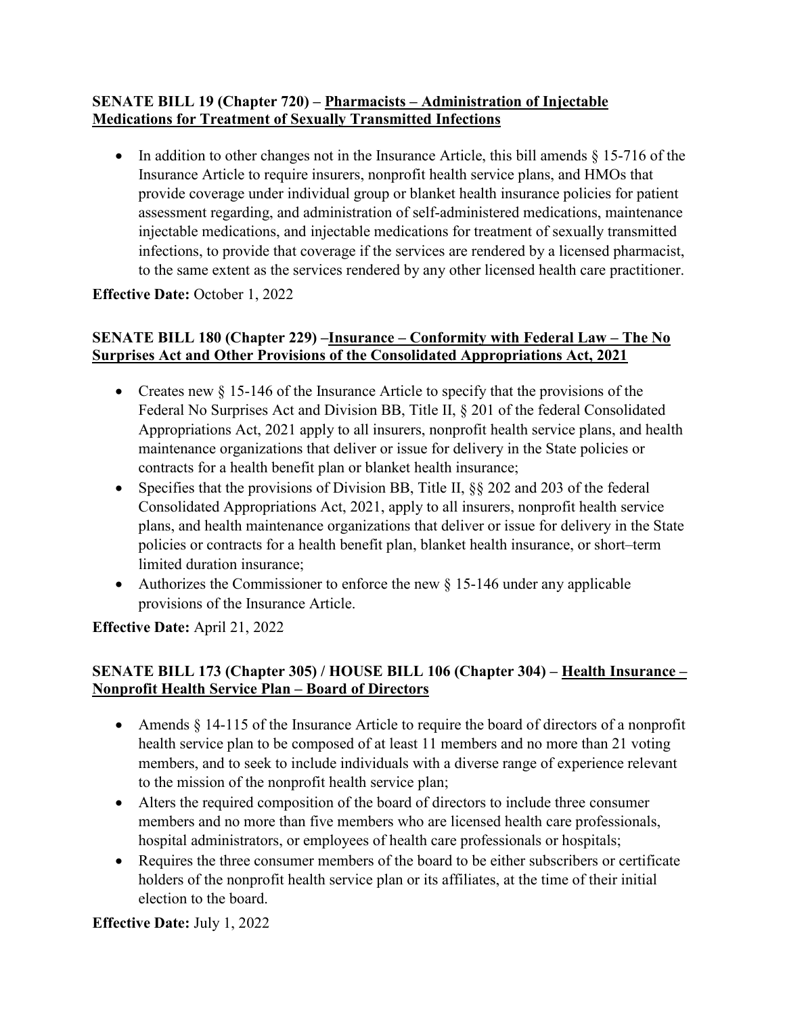#### **SENATE BILL 19 (Chapter 720) – Pharmacists – Administration of Injectable Medications for Treatment of Sexually Transmitted Infections**

• In addition to other changes not in the Insurance Article, this bill amends  $\S 15-716$  of the Insurance Article to require insurers, nonprofit health service plans, and HMOs that provide coverage under individual group or blanket health insurance policies for patient assessment regarding, and administration of self-administered medications, maintenance injectable medications, and injectable medications for treatment of sexually transmitted infections, to provide that coverage if the services are rendered by a licensed pharmacist, to the same extent as the services rendered by any other licensed health care practitioner.

## **Effective Date:** October 1, 2022

#### **SENATE BILL 180 (Chapter 229) –Insurance – Conformity with Federal Law – The No Surprises Act and Other Provisions of the Consolidated Appropriations Act, 2021**

- Creates new  $\S$  15-146 of the Insurance Article to specify that the provisions of the Federal No Surprises Act and Division BB, Title II, § 201 of the federal Consolidated Appropriations Act, 2021 apply to all insurers, nonprofit health service plans, and health maintenance organizations that deliver or issue for delivery in the State policies or contracts for a health benefit plan or blanket health insurance;
- Specifies that the provisions of Division BB, Title II,  $\S$  202 and 203 of the federal Consolidated Appropriations Act, 2021, apply to all insurers, nonprofit health service plans, and health maintenance organizations that deliver or issue for delivery in the State policies or contracts for a health benefit plan, blanket health insurance, or short–term limited duration insurance;
- Authorizes the Commissioner to enforce the new  $\S$  15-146 under any applicable provisions of the Insurance Article.

**Effective Date:** April 21, 2022

#### **SENATE BILL 173 (Chapter 305) / HOUSE BILL 106 (Chapter 304) – Health Insurance – Nonprofit Health Service Plan – Board of Directors**

- Amends § 14-115 of the Insurance Article to require the board of directors of a nonprofit health service plan to be composed of at least 11 members and no more than 21 voting members, and to seek to include individuals with a diverse range of experience relevant to the mission of the nonprofit health service plan;
- Alters the required composition of the board of directors to include three consumer members and no more than five members who are licensed health care professionals, hospital administrators, or employees of health care professionals or hospitals;
- Requires the three consumer members of the board to be either subscribers or certificate holders of the nonprofit health service plan or its affiliates, at the time of their initial election to the board.

**Effective Date:** July 1, 2022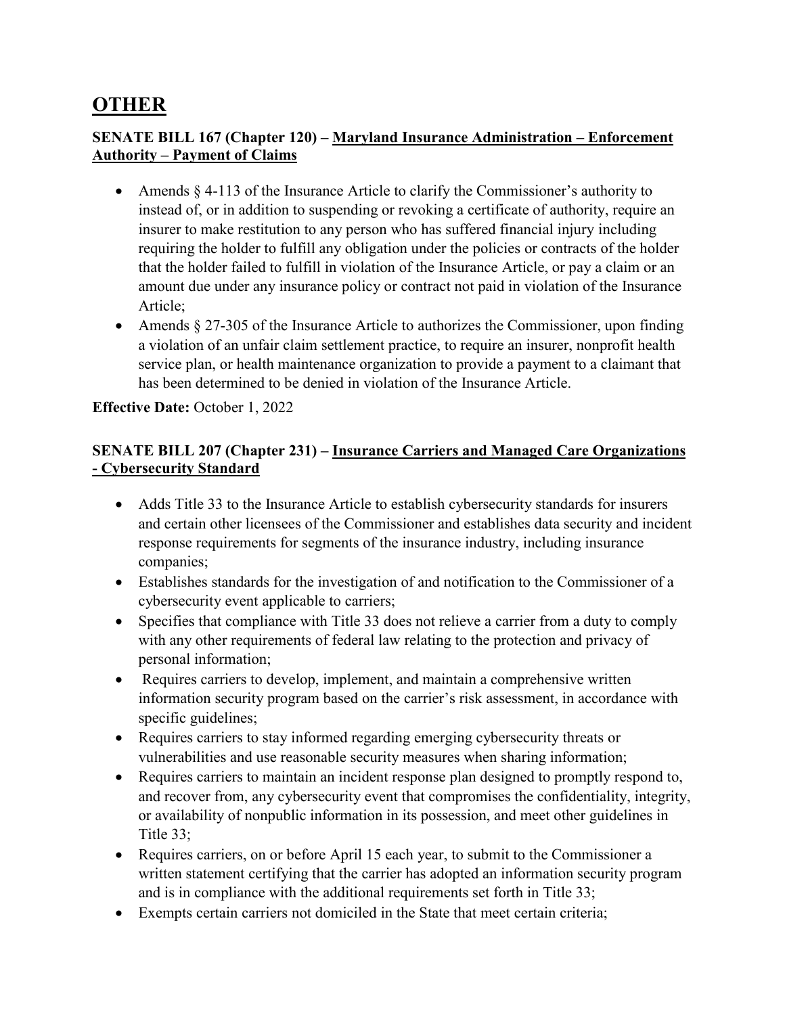## **OTHER**

#### **SENATE BILL 167 (Chapter 120) – Maryland Insurance Administration – Enforcement Authority – Payment of Claims**

- Amends  $\S$  4-113 of the Insurance Article to clarify the Commissioner's authority to instead of, or in addition to suspending or revoking a certificate of authority, require an insurer to make restitution to any person who has suffered financial injury including requiring the holder to fulfill any obligation under the policies or contracts of the holder that the holder failed to fulfill in violation of the Insurance Article, or pay a claim or an amount due under any insurance policy or contract not paid in violation of the Insurance Article;
- Amends § 27-305 of the Insurance Article to authorizes the Commissioner, upon finding a violation of an unfair claim settlement practice, to require an insurer, nonprofit health service plan, or health maintenance organization to provide a payment to a claimant that has been determined to be denied in violation of the Insurance Article.

#### **Effective Date:** October 1, 2022

#### **SENATE BILL 207 (Chapter 231) – Insurance Carriers and Managed Care Organizations - Cybersecurity Standard**

- Adds Title 33 to the Insurance Article to establish cybersecurity standards for insurers and certain other licensees of the Commissioner and establishes data security and incident response requirements for segments of the insurance industry, including insurance companies;
- Establishes standards for the investigation of and notification to the Commissioner of a cybersecurity event applicable to carriers;
- Specifies that compliance with Title 33 does not relieve a carrier from a duty to comply with any other requirements of federal law relating to the protection and privacy of personal information;
- Requires carriers to develop, implement, and maintain a comprehensive written information security program based on the carrier's risk assessment, in accordance with specific guidelines;
- Requires carriers to stay informed regarding emerging cybersecurity threats or vulnerabilities and use reasonable security measures when sharing information;
- Requires carriers to maintain an incident response plan designed to promptly respond to, and recover from, any cybersecurity event that compromises the confidentiality, integrity, or availability of nonpublic information in its possession, and meet other guidelines in Title 33;
- Requires carriers, on or before April 15 each year, to submit to the Commissioner a written statement certifying that the carrier has adopted an information security program and is in compliance with the additional requirements set forth in Title 33;
- Exempts certain carriers not domiciled in the State that meet certain criteria;